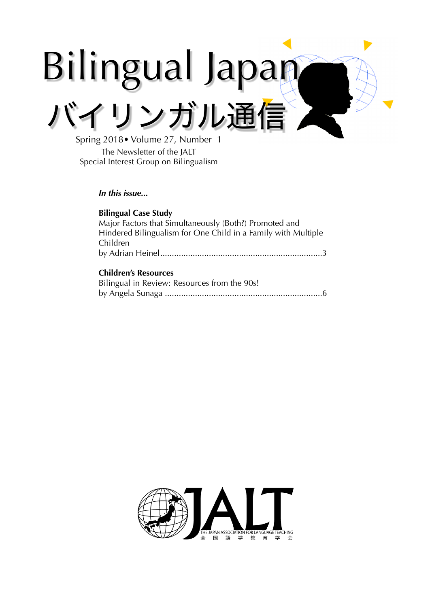# Bilingual Japan バイリンガル通信

Spring 2018• Volume 27, Number 1 The Newsletter of the JALT Special Interest Group on Bilingualism

## *In this issue...*

## **Bilingual Case Study**

Major Factors that Simultaneously (Both?) Promoted and Hindered Bilingualism for One Child in a Family with Multiple Children by Adrian Heinel 3 ......................................................................

## **Children's Resources**

| Bilingual in Review: Resources from the 90s! |  |
|----------------------------------------------|--|
|                                              |  |

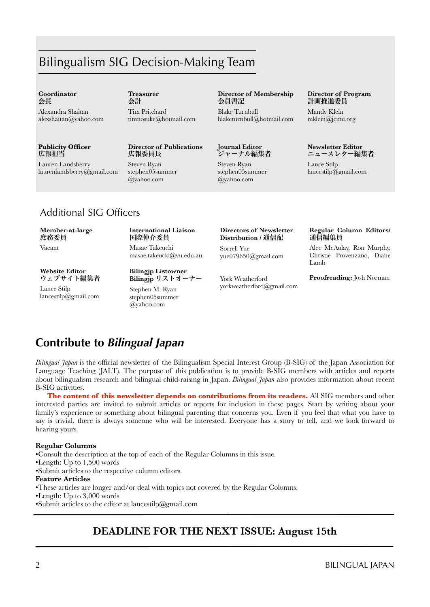# Bilingualism SIG Decision-Making Team

#### **Coordinator**  会長

Alexandra Shaitan alexshaitan@yahoo.com

#### **Publicity Officer** 広報担当

Lauren Landsberry [laurenlandsberry@gmail.com](mailto:jayinhimeji@gmail.com)  **Treasurer**  会計

Tim Pritchard timnosuke@hotmail.com

## **Director of Publications** 広報委員長

Steven Ryan stephen05summer @yahoo.com

#### **Director of Membership** 会員書記

Blake Turnbull blaketurnbull@hotmail.com

#### **Journal Editor** ジャーナル編集者

Steven Ryan stephen05summer @yahoo.com

#### **Director of Program** 計画推進委員

Mandy Klein mklein@jcmu.org

#### **Newsletter Editor** ニュースレター編集者

Lance Stilp lancestilp@gmail.com

# Additional SIG Officers

#### **Member-at-large** 庶務委員

Vacant

#### **International Liaison** 国際仲介委員 Masae Takeuchi

masae.takeucki@vu.edu.au

**Website Editor** ウェブサイト編集者

Lance Stilp lancestilp@gmail.com **Bilingjp** リストオーナー Stephen M. Ryan stephen05summer @yahoo.com

**Bilingjp Listowner**

#### **Directors of Newsletter Distribution /** 通信配

Sorrell Yue yue079650@gmail.com

York Weatherford yorkweatherford@gmail.com

#### **Regular Column Editors/**  通信編集員

Alec McAulay, Ron Murphy, Christie Provenzano, Diane Lamb

#### **Proofreading:** Josh Norman

# **Contribute to** *Bilingual Japan*

*Bilingual Japan* is the official newsletter of the Bilingualism Special Interest Group (B-SIG) of the Japan Association for Language Teaching (JALT). The purpose of this publication is to provide B-SIG members with articles and reports about bilingualism research and bilingual child-raising in Japan. *Bilingual Japan* also provides information about recent B-SIG activities.

**The content of this newsletter depends on contributions from its readers.** All SIG members and other interested parties are invited to submit articles or reports for inclusion in these pages. Start by writing about your family's experience or something about bilingual parenting that concerns you. Even if you feel that what you have to say is trivial, there is always someone who will be interested. Everyone has a story to tell, and we look forward to hearing yours.

#### **Regular Columns**

•Consult the description at the top of each of the Regular Columns in this issue.

•Length: Up to 1,500 words

•Submit articles to the respective column editors.

#### **Feature Articles**

•These articles are longer and/or deal with topics not covered by the Regular Columns.

•Length: Up to 3,000 words

•Submit articles to the editor at lancestilp@gmail.com

# **DEADLINE FOR THE NEXT ISSUE: August 15th**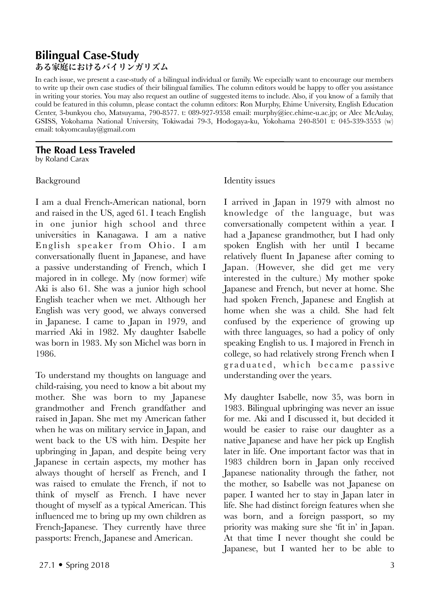# **Bilingual Case-Study** ある家庭におけるバイリンガリズム

In each issue, we present a case-study of a bilingual individual or family. We especially want to encourage our members to write up their own case studies of their bilingual families. The column editors would be happy to offer you assistance in writing your stories. You may also request an outline of suggested items to include. Also, if you know of a family that could be featured in this column, please contact the column editors: Ron Murphy, Ehime University, English Education Center, 3-bunkyou cho, Matsuyama, 790-8577. t: 089-927-9358 email: murphy@iec.ehime-u.ac.jp; or Alec McAulay, GSISS, Yokohama National University, Tokiwadai 79-3, Hodogaya-ku, Yokohama 240-8501 t: 045-339-3553 (w) email: tokyomcaulay@gmail.com

#### **The Road Less Traveled** by Roland Carax

## Background

I am a dual French-American national, born and raised in the US, aged 61. I teach English in one junior high school and three universities in Kanagawa. I am a native English speaker from Ohio. I am conversationally fluent in Japanese, and have a passive understanding of French, which I majored in in college. My (now former) wife Aki is also 61. She was a junior high school English teacher when we met. Although her English was very good, we always conversed in Japanese. I came to Japan in 1979, and married Aki in 1982. My daughter Isabelle was born in 1983. My son Michel was born in 1986.

To understand my thoughts on language and child-raising, you need to know a bit about my mother. She was born to my Japanese grandmother and French grandfather and raised in Japan. She met my American father when he was on military service in Japan, and went back to the US with him. Despite her upbringing in Japan, and despite being very Japanese in certain aspects, my mother has always thought of herself as French, and I was raised to emulate the French, if not to think of myself as French. I have never thought of myself as a typical American. This influenced me to bring up my own children as French-Japanese. They currently have three passports: French, Japanese and American.

# Identity issues

I arrived in Japan in 1979 with almost no knowledge of the language, but was conversationally competent within a year. I had a Japanese grandmother, but I had only spoken English with her until I became relatively fluent In Japanese after coming to Japan. (However, she did get me very interested in the culture.) My mother spoke Japanese and French, but never at home. She had spoken French, Japanese and English at home when she was a child. She had felt confused by the experience of growing up with three languages, so had a policy of only speaking English to us. I majored in French in college, so had relatively strong French when I graduated, which became passive understanding over the years.

My daughter Isabelle, now 35, was born in 1983. Bilingual upbringing was never an issue for me. Aki and I discussed it, but decided it would be easier to raise our daughter as a native Japanese and have her pick up English later in life. One important factor was that in 1983 children born in Japan only received Japanese nationality through the father, not the mother, so Isabelle was not Japanese on paper. I wanted her to stay in Japan later in life. She had distinct foreign features when she was born, and a foreign passport, so my priority was making sure she 'fit in' in Japan. At that time I never thought she could be Japanese, but I wanted her to be able to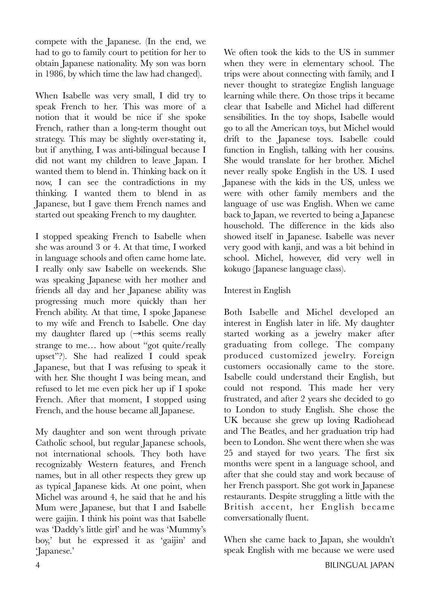compete with the Japanese. (In the end, we had to go to family court to petition for her to obtain Japanese nationality. My son was born in 1986, by which time the law had changed).

When Isabelle was very small, I did try to speak French to her. This was more of a notion that it would be nice if she spoke French, rather than a long-term thought out strategy. This may be slightly over-stating it, but if anything, I was anti-bilingual because I did not want my children to leave Japan. I wanted them to blend in. Thinking back on it now, I can see the contradictions in my thinking. I wanted them to blend in as Japanese, but I gave them French names and started out speaking French to my daughter.

I stopped speaking French to Isabelle when she was around 3 or 4. At that time, I worked in language schools and often came home late. I really only saw Isabelle on weekends. She was speaking Japanese with her mother and friends all day and her Japanese ability was progressing much more quickly than her French ability. At that time, I spoke Japanese to my wife and French to Isabelle. One day my daughter flared up (→this seems really strange to me… how about "got quite/really upset"?). She had realized I could speak Japanese, but that I was refusing to speak it with her. She thought I was being mean, and refused to let me even pick her up if I spoke French. After that moment, I stopped using French, and the house became all Japanese.

My daughter and son went through private Catholic school, but regular Japanese schools, not international schools. They both have recognizably Western features, and French names, but in all other respects they grew up as typical Japanese kids. At one point, when Michel was around 4, he said that he and his Mum were Japanese, but that I and Isabelle were gaijin. I think his point was that Isabelle was 'Daddy's little girl' and he was 'Mummy's boy,' but he expressed it as 'gaijin' and 'Japanese.'

We often took the kids to the US in summer when they were in elementary school. The trips were about connecting with family, and I never thought to strategize English language learning while there. On those trips it became clear that Isabelle and Michel had different sensibilities. In the toy shops, Isabelle would go to all the American toys, but Michel would drift to the Japanese toys. Isabelle could function in English, talking with her cousins. She would translate for her brother. Michel never really spoke English in the US. I used Japanese with the kids in the US, unless we were with other family members and the language of use was English. When we came back to Japan, we reverted to being a Japanese household. The difference in the kids also showed itself in Japanese. Isabelle was never very good with kanji, and was a bit behind in school. Michel, however, did very well in kokugo (Japanese language class).

# Interest in English

Both Isabelle and Michel developed an interest in English later in life. My daughter started working as a jewelry maker after graduating from college. The company produced customized jewelry. Foreign customers occasionally came to the store. Isabelle could understand their English, but could not respond. This made her very frustrated, and after 2 years she decided to go to London to study English. She chose the UK because she grew up loving Radiohead and The Beatles, and her graduation trip had been to London. She went there when she was 25 and stayed for two years. The first six months were spent in a language school, and after that she could stay and work because of her French passport. She got work in Japanese restaurants. Despite struggling a little with the British accent, her English became conversationally fluent.

When she came back to Japan, she wouldn't speak English with me because we were used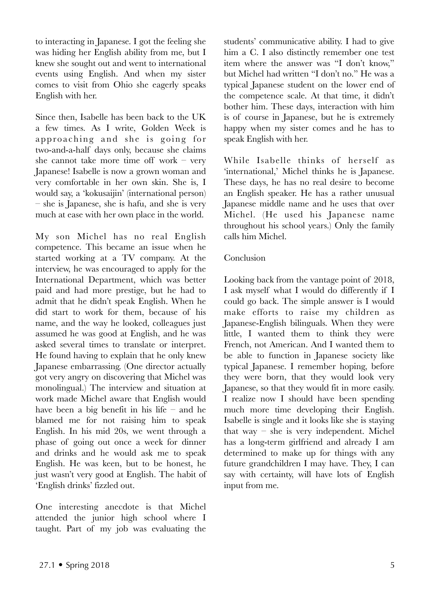to interacting in Japanese. I got the feeling she was hiding her English ability from me, but I knew she sought out and went to international events using English. And when my sister comes to visit from Ohio she eagerly speaks English with her.

Since then, Isabelle has been back to the UK a few times. As I write, Golden Week is approaching and she is going for two-and-a-half days only, because she claims she cannot take more time off work – very Japanese! Isabelle is now a grown woman and very comfortable in her own skin. She is, I would say, a 'kokusaijin' (international person) – she is Japanese, she is hafu, and she is very much at ease with her own place in the world.

My son Michel has no real English competence. This became an issue when he started working at a TV company. At the interview, he was encouraged to apply for the International Department, which was better paid and had more prestige, but he had to admit that he didn't speak English. When he did start to work for them, because of his name, and the way he looked, colleagues just assumed he was good at English, and he was asked several times to translate or interpret. He found having to explain that he only knew Japanese embarrassing. (One director actually got very angry on discovering that Michel was monolingual.) The interview and situation at work made Michel aware that English would have been a big benefit in his life – and he blamed me for not raising him to speak English. In his mid 20s, we went through a phase of going out once a week for dinner and drinks and he would ask me to speak English. He was keen, but to be honest, he just wasn't very good at English. The habit of 'English drinks' fizzled out.

One interesting anecdote is that Michel attended the junior high school where I taught. Part of my job was evaluating the

students' communicative ability. I had to give him a C. I also distinctly remember one test item where the answer was "I don't know," but Michel had written "I don't no." He was a typical Japanese student on the lower end of the competence scale. At that time, it didn't bother him. These days, interaction with him is of course in Japanese, but he is extremely happy when my sister comes and he has to speak English with her.

While Isabelle thinks of herself as 'international,' Michel thinks he is Japanese. These days, he has no real desire to become an English speaker. He has a rather unusual Japanese middle name and he uses that over Michel. (He used his Japanese name throughout his school years.) Only the family calls him Michel.

# Conclusion

Looking back from the vantage point of 2018, I ask myself what I would do differently if I could go back. The simple answer is I would make efforts to raise my children as Japanese-English bilinguals. When they were little, I wanted them to think they were French, not American. And I wanted them to be able to function in Japanese society like typical Japanese. I remember hoping, before they were born, that they would look very Japanese, so that they would fit in more easily. I realize now I should have been spending much more time developing their English. Isabelle is single and it looks like she is staying that way – she is very independent. Michel has a long-term girlfriend and already I am determined to make up for things with any future grandchildren I may have. They, I can say with certainty, will have lots of English input from me.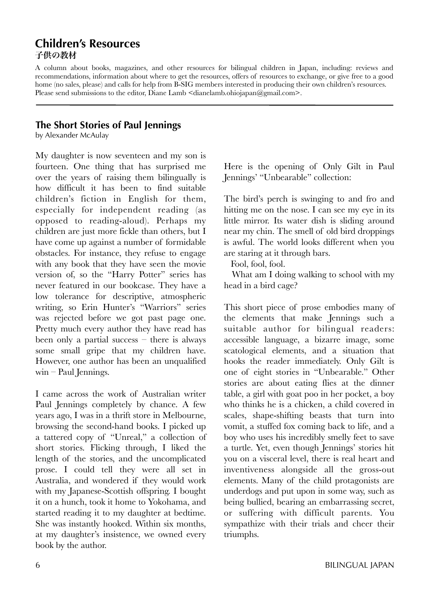# **Children's Resources** 子供の教材

A column about books, magazines, and other resources for bilingual children in Japan, including: reviews and recommendations, information about where to get the resources, offers of resources to exchange, or give free to a good home (no sales, please) and calls for help from B-SIG members interested in producing their own children's resources. Please send submissions to the editor, Diane Lamb  $\leq$ dianelamb.ohiojapan $\alpha$ gmail.com $\geq$ .

# **The Short Stories of Paul Jennings**

by Alexander McAulay

My daughter is now seventeen and my son is fourteen. One thing that has surprised me over the years of raising them bilingually is how difficult it has been to find suitable children's fiction in English for them, especially for independent reading (as opposed to reading-aloud). Perhaps my children are just more fickle than others, but I have come up against a number of formidable obstacles. For instance, they refuse to engage with any book that they have seen the movie version of, so the "Harry Potter" series has never featured in our bookcase. They have a low tolerance for descriptive, atmospheric writing, so Erin Hunter's "Warriors" series was rejected before we got past page one. Pretty much every author they have read has been only a partial success – there is always some small gripe that my children have. However, one author has been an unqualified win – Paul Jennings.

I came across the work of Australian writer Paul Jennings completely by chance. A few years ago, I was in a thrift store in Melbourne, browsing the second-hand books. I picked up a tattered copy of "Unreal," a collection of short stories. Flicking through, I liked the length of the stories, and the uncomplicated prose. I could tell they were all set in Australia, and wondered if they would work with my Japanese-Scottish offspring. I bought it on a hunch, took it home to Yokohama, and started reading it to my daughter at bedtime. She was instantly hooked. Within six months, at my daughter's insistence, we owned every book by the author.

Here is the opening of Only Gilt in Paul Jennings' "Unbearable" collection:

The bird's perch is swinging to and fro and hitting me on the nose. I can see my eye in its little mirror. Its water dish is sliding around near my chin. The smell of old bird droppings is awful. The world looks different when you are staring at it through bars.

Fool, fool, fool.

 What am I doing walking to school with my head in a bird cage?

This short piece of prose embodies many of the elements that make Jennings such a suitable author for bilingual readers: accessible language, a bizarre image, some scatological elements, and a situation that hooks the reader immediately. Only Gilt is one of eight stories in "Unbearable." Other stories are about eating flies at the dinner table, a girl with goat poo in her pocket, a boy who thinks he is a chicken, a child covered in scales, shape-shifting beasts that turn into vomit, a stuffed fox coming back to life, and a boy who uses his incredibly smelly feet to save a turtle. Yet, even though Jennings' stories hit you on a visceral level, there is real heart and inventiveness alongside all the gross-out elements. Many of the child protagonists are underdogs and put upon in some way, such as being bullied, bearing an embarrassing secret, or suffering with difficult parents. You sympathize with their trials and cheer their triumphs.